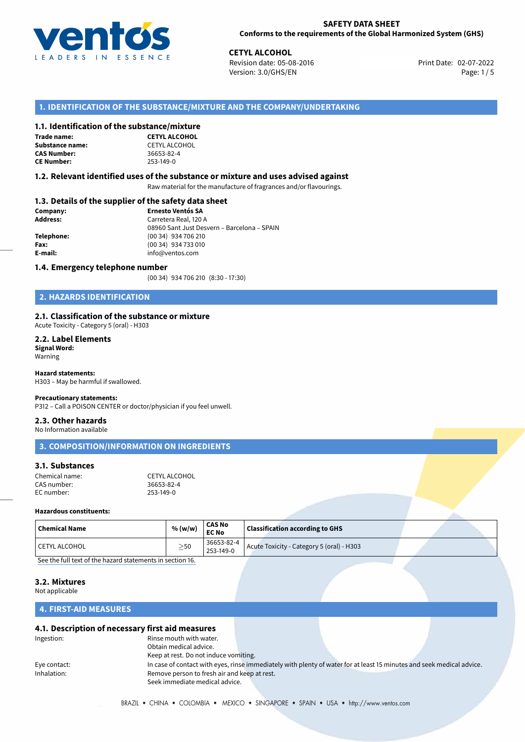

**CETYL ALCOHOL**<br>
Revision date: 05-08-2016 **Print Date: 02-07-2022** Version: 3.0/GHS/EN Page: 1/5

## **1. IDENTIFICATION OF THE SUBSTANCE/MIXTURE AND THE COMPANY/UNDERTAKING**

#### **1.1. Identification of the substance/mixture**

**Trade name: Substance name:** CETYL ALCOHOL<br> **CAS Number:** 36653-82-4 **CAS Number: CE Number:** 253-149-0

**CETYL ALCOHOL**

#### **1.2. Relevant identified uses of the substance or mixture and uses advised against**

Raw material for the manufacture of fragrances and/or flavourings.

## **1.3. Details of the supplier of the safety data sheet**

| Company:   | <b>Ernesto Ventós SA</b>                    |  |  |
|------------|---------------------------------------------|--|--|
| Address:   | Carretera Real, 120 A                       |  |  |
|            | 08960 Sant Just Desvern - Barcelona - SPAIN |  |  |
| Telephone: | (00 34) 934 706 210                         |  |  |
| Fax:       | (00 34) 934 733 010                         |  |  |
| E-mail:    | info@ventos.com                             |  |  |
|            |                                             |  |  |

#### **1.4. Emergency telephone number**

(00 34) 934 706 210 (8:30 - 17:30)

## **2. HAZARDS IDENTIFICATION**

### **2.1. Classification of the substance or mixture**

Acute Toxicity - Category 5 (oral) - H303

#### **2.2. Label Elements Signal Word:** Warning

**Hazard statements:**

H303 – May be harmful if swallowed.

#### **Precautionary statements:**

P312 – Call a POISON CENTER or doctor/physician if you feel unwell.

## **2.3. Other hazards**

No Information available

## **3. COMPOSITION/INFORMATION ON INGREDIENTS**

## **3.1. Substances**

| Chemical name: | CETYL ALCOHOL |
|----------------|---------------|
| CAS number:    | 36653-82-4    |
| EC number:     | 253-149-0     |

#### **Hazardous constituents:**

| Chemical Name   | % (w/w)   | <b>CAS No</b><br><b>EC No</b>  | <b>Classification according to GHS</b>    |  |  |
|-----------------|-----------|--------------------------------|-------------------------------------------|--|--|
| l CETYL ALCOHOL | $\geq$ 50 | 36653-82-4<br>$1253 - 149 - 0$ | Acute Toxicity - Category 5 (oral) - H303 |  |  |
| .               | - -       |                                |                                           |  |  |

[See the full text of the hazard statements in section 16.](#page--1-0)

#### **3.2. Mixtures**

Not applicable

## **4. FIRST-AID MEASURES**

### **4.1. Description of necessary first aid measures**

| Ingestion:   | Rinse mouth with water.                      |                                                                                                                       |  |
|--------------|----------------------------------------------|-----------------------------------------------------------------------------------------------------------------------|--|
|              | Obtain medical advice.                       |                                                                                                                       |  |
|              | Keep at rest. Do not induce vomiting.        |                                                                                                                       |  |
| Eye contact: |                                              | In case of contact with eyes, rinse immediately with plenty of water for at least 15 minutes and seek medical advice. |  |
| Inhalation:  | Remove person to fresh air and keep at rest. |                                                                                                                       |  |
|              | Seek immediate medical advice.               |                                                                                                                       |  |
|              |                                              |                                                                                                                       |  |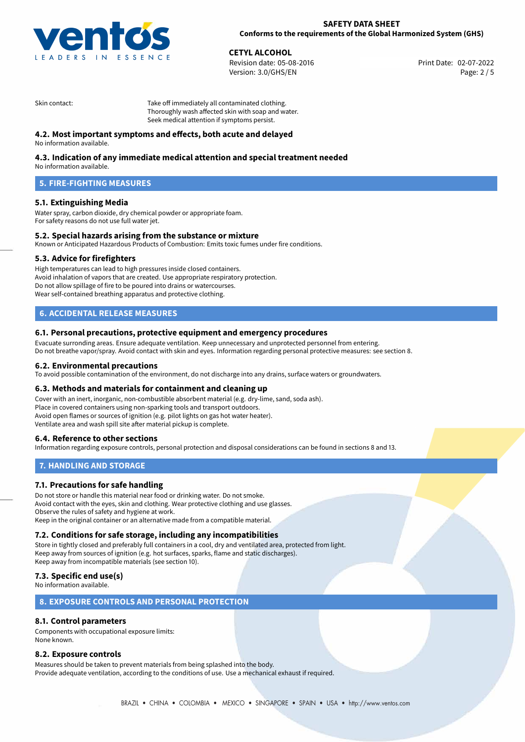

**CETYL ALCOHOL**<br>
Revision date: 05-08-2016<br> **CETYL ALCOHOL**<br> **CETYL ALCOHOL**<br> **CETYL ALCOHOL** Revision date: 05-08-2016 Version: 3.0/GHS/EN Page: 2 / 5

Skin contact: Take off immediately all contaminated clothing. Thoroughly wash affected skin with soap and water. Seek medical attention if symptoms persist.

## **4.2. Most important symptoms and effects, both acute and delayed**

No information available.

## **4.3. Indication of any immediate medical attention and special treatment needed**

No information available.

## **5. FIRE-FIGHTING MEASURES**

## **5.1. Extinguishing Media**

Water spray, carbon dioxide, dry chemical powder or appropriate foam. For safety reasons do not use full water jet.

### **5.2. Special hazards arising from the substance or mixture**

Known or Anticipated Hazardous Products of Combustion: Emits toxic fumes under fire conditions.

### **5.3. Advice for firefighters**

High temperatures can lead to high pressures inside closed containers. Avoid inhalation of vapors that are created. Use appropriate respiratory protection. Do not allow spillage of fire to be poured into drains or watercourses. Wear self-contained breathing apparatus and protective clothing.

## **6. ACCIDENTAL RELEASE MEASURES**

#### **6.1. Personal precautions, protective equipment and emergency procedures**

Evacuate surronding areas. Ensure adequate ventilation. Keep unnecessary and unprotected personnel from entering. Do not breathe vapor/spray. Avoid contact with skin and eyes. Information regarding personal protective measures: see section 8.

#### **6.2. Environmental precautions**

To avoid possible contamination of the environment, do not discharge into any drains, surface waters or groundwaters.

### **6.3. Methods and materials for containment and cleaning up**

Cover with an inert, inorganic, non-combustible absorbent material (e.g. dry-lime, sand, soda ash). Place in covered containers using non-sparking tools and transport outdoors. Avoid open flames or sources of ignition (e.g. pilot lights on gas hot water heater). Ventilate area and wash spill site after material pickup is complete.

### **6.4. Reference to other sections**

Information regarding exposure controls, personal protection and disposal considerations can be found in sections 8 and 13.

### **7. HANDLING AND STORAGE**

### **7.1. Precautions for safe handling**

Do not store or handle this material near food or drinking water. Do not smoke. Avoid contact with the eyes, skin and clothing. Wear protective clothing and use glasses. Observe the rules of safety and hygiene at work. Keep in the original container or an alternative made from a compatible material.

### **7.2. Conditions for safe storage, including any incompatibilities**

Store in tightly closed and preferably full containers in a cool, dry and ventilated area, protected from light. Keep away from sources of ignition (e.g. hot surfaces, sparks, flame and static discharges). Keep away from incompatible materials (see section 10).

## **7.3. Specific end use(s)**

No information available.

### **8. EXPOSURE CONTROLS AND PERSONAL PROTECTION**

## **8.1. Control parameters**

Components with occupational exposure limits: None known.

### **8.2. Exposure controls**

Measures should be taken to prevent materials from being splashed into the body. Provide adequate ventilation, according to the conditions of use. Use a mechanical exhaust if required.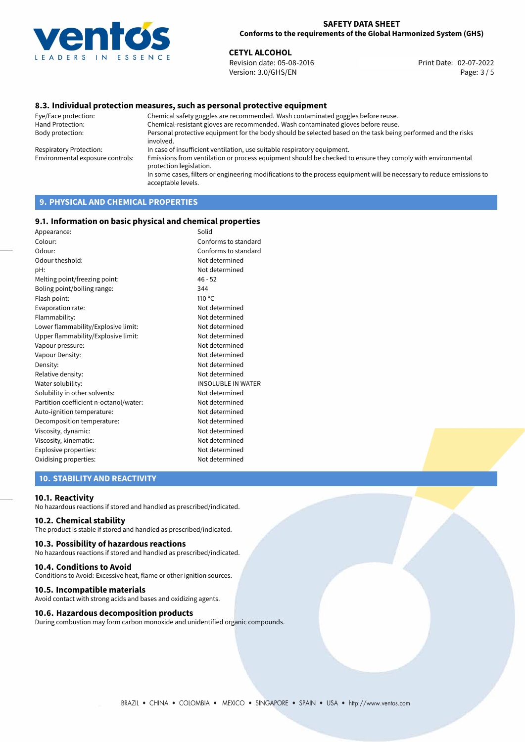

**CETYL ALCOHOL**<br>
Revision date: 05-08-2016 **Print Date: 02-07-2022** Version: 3.0/GHS/EN Page: 3 / 5

## **8.3. Individual protection measures, such as personal protective equipment**

Eye/Face protection: Chemical safety goggles are recommended. Wash contaminated goggles before reuse. Chemical-resistant gloves are recommended. Wash contaminated gloves before reuse. Body protection: Personal protective equipment for the body should be selected based on the task being performed and the risks involved. Respiratory Protection: In case of insufficient ventilation, use suitable respiratory equipment. Environmental exposure controls: Emissions from ventilation or process equipment should be checked to ensure they comply with environmental protection legislation. In some cases, filters or engineering modifications to the process equipment will be necessary to reduce emissions to acceptable levels.

# **9. PHYSICAL AND CHEMICAL PROPERTIES**

### **9.1. Information on basic physical and chemical properties**

| Appearance:                            | Solid                     |
|----------------------------------------|---------------------------|
| Colour:                                | Conforms to standard      |
| Odour:                                 | Conforms to standard      |
| Odour theshold:                        | Not determined            |
| pH:                                    | Not determined            |
| Melting point/freezing point:          | $46 - 52$                 |
| Boling point/boiling range:            | 344                       |
| Flash point:                           | $110^{\circ}$ C           |
| Evaporation rate:                      | Not determined            |
| Flammability:                          | Not determined            |
| Lower flammability/Explosive limit:    | Not determined            |
| Upper flammability/Explosive limit:    | Not determined            |
| Vapour pressure:                       | Not determined            |
| Vapour Density:                        | Not determined            |
| Density:                               | Not determined            |
| Relative density:                      | Not determined            |
| Water solubility:                      | <b>INSOLUBLE IN WATER</b> |
| Solubility in other solvents:          | Not determined            |
| Partition coefficient n-octanol/water: | Not determined            |
| Auto-ignition temperature:             | Not determined            |
| Decomposition temperature:             | Not determined            |
| Viscosity, dynamic:                    | Not determined            |
| Viscosity, kinematic:                  | Not determined            |
| Explosive properties:                  | Not determined            |
| Oxidising properties:                  | Not determined            |
|                                        |                           |

## **10. STABILITY AND REACTIVITY**

#### **10.1. Reactivity**

No hazardous reactions if stored and handled as prescribed/indicated.

## **10.2. Chemical stability**

The product is stable if stored and handled as prescribed/indicated.

### **10.3. Possibility of hazardous reactions**

No hazardous reactions if stored and handled as prescribed/indicated.

#### **10.4. Conditions to Avoid**

Conditions to Avoid: Excessive heat, flame or other ignition sources.

#### **10.5. Incompatible materials**

Avoid contact with strong acids and bases and oxidizing agents.

#### **10.6. Hazardous decomposition products**

During combustion may form carbon monoxide and unidentified organic compounds.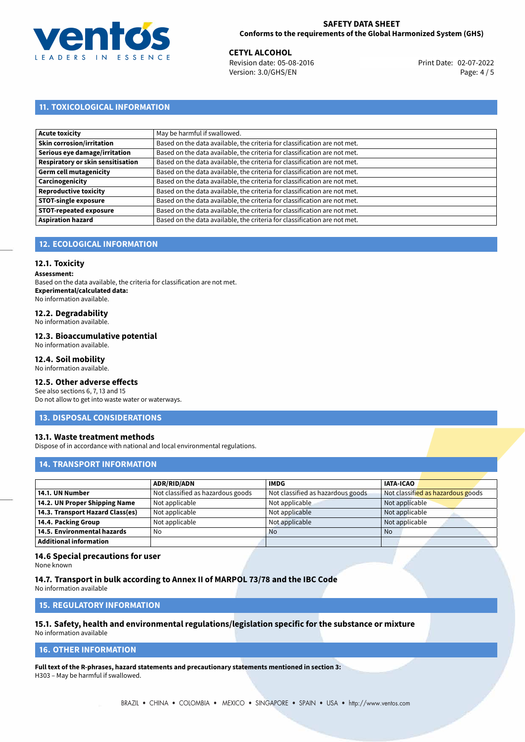

**CETYL ALCOHOL**<br>
Revision date: 05-08-2016 **Print Date: 02-07-2022** Version: 3.0/GHS/EN Page: 4 / 5

## **11. TOXICOLOGICAL INFORMATION**

| May be harmful if swallowed.                                              |
|---------------------------------------------------------------------------|
| Based on the data available, the criteria for classification are not met. |
| Based on the data available, the criteria for classification are not met. |
| Based on the data available, the criteria for classification are not met. |
| Based on the data available, the criteria for classification are not met. |
| Based on the data available, the criteria for classification are not met. |
| Based on the data available, the criteria for classification are not met. |
| Based on the data available, the criteria for classification are not met. |
| Based on the data available, the criteria for classification are not met. |
| Based on the data available, the criteria for classification are not met. |
|                                                                           |

## **12. ECOLOGICAL INFORMATION**

## **12.1. Toxicity**

**Assessment:**

Based on the data available, the criteria for classification are not met. **Experimental/calculated data:** No information available.

## **12.2. Degradability**

No information available.

#### **12.3. Bioaccumulative potential**

No information available.

## **12.4. Soil mobility**

No information available.

## **12.5. Other adverse effects**

See also sections 6, 7, 13 and 15 Do not allow to get into waste water or waterways.

### **13. DISPOSAL CONSIDERATIONS**

### **13.1. Waste treatment methods**

Dispose of in accordance with national and local environmental regulations.

### **14. TRANSPORT INFORMATION**

|                                  | <b>ADR/RID/ADN</b>                | <b>IMDG</b>                       | <b>IATA-ICAO</b>                  |
|----------------------------------|-----------------------------------|-----------------------------------|-----------------------------------|
| 14.1. UN Number                  | Not classified as hazardous goods | Not classified as hazardous goods | Not classified as hazardous goods |
| 14.2. UN Proper Shipping Name    | Not applicable                    | Not applicable                    | Not applicable                    |
| 14.3. Transport Hazard Class(es) | Not applicable                    | Not applicable                    | Not applicable                    |
| 14.4. Packing Group              | Not applicable                    | Not applicable                    | Not applicable                    |
| 14.5. Environmental hazards      | No                                | <b>No</b>                         | No                                |
| <b>Additional information</b>    |                                   |                                   |                                   |

### **14.6 Special precautions for user**

None known

#### **14.7. Transport in bulk according to Annex II of MARPOL 73/78 and the IBC Code**

No information available

## **15. REGULATORY INFORMATION**

# **15.1. Safety, health and environmental regulations/legislation specific for the substance or mixture**

No information available

## **16. OTHER INFORMATION**

**Full text of the R-phrases, hazard statements and precautionary statements mentioned in section 3:** H303 – May be harmful if swallowed.